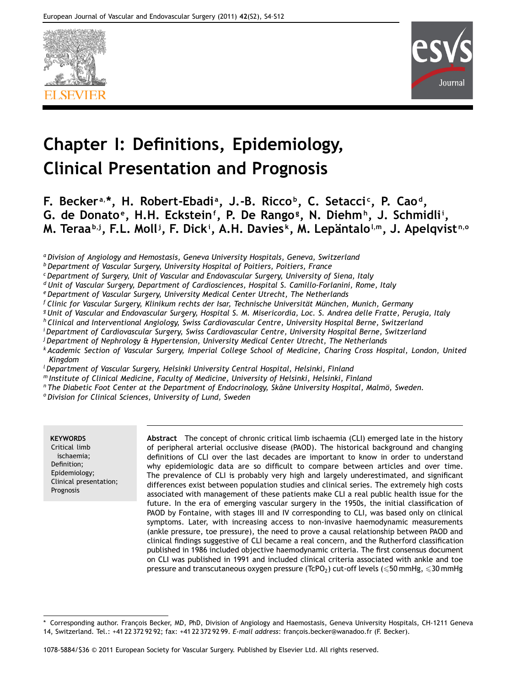



# Chapter I: Definitions, Epidemiology, Clinical Presentation and Prognosis

<sup>a</sup> Division of Angiology and Hemostasis, Geneva University Hospitals, Geneva, Switzerland

**b Department of Vascular Surgery, University Hospital of Poitiers, Poitiers, France** 

<sup>c</sup> Department of Surgery, Unit of Vascular and Endovascular Surgery, University of Siena, Italy

<sup>d</sup> Unit of Vascular Surgery, Department of Cardiosciences, Hospital S. Camillo-Forlanini, Rome, Italy

<sup>e</sup> Department of Vascular Surgery, University Medical Center Utrecht, The Netherlands

 $f$  Clinic for Vascular Surgery, Klinikum rechts der Isar, Technische Universität München, Munich, Germany

<sup>g</sup> Unit of Vascular and Endovascular Surgery, Hospital S. M. Misericordia, Loc. S. Andrea delle Fratte, Perugia, Italy

<sup>h</sup> Clinical and Interventional Angiology, Swiss Cardiovascular Centre, University Hospital Berne, Switzerland

<sup>i</sup> Department of Cardiovascular Surgery, Swiss Cardiovascular Centre, University Hospital Berne, Switzerland

 $^{j}$  Department of Nephrology & Hypertension, University Medical Center Utrecht, The Netherlands

<sup>k</sup> Academic Section of Vascular Surgery, Imperial College School of Medicine, Charing Cross Hospital, London, United Kingdom

 $\iota$  Department of Vascular Surgery, Helsinki University Central Hospital, Helsinki, Finland

<sup>m</sup> Institute of Clinical Medicine, Faculty of Medicine, University of Helsinki, Helsinki, Finland

n The Diabetic Foot Center at the Department of Endocrinology, Skåne University Hospital, Malmö, Sweden.

<sup>o</sup> Division for Clinical Sciences, University of Lund, Sweden

#### **KEYWORDS**

Critical limb ischaemia; Definition; Epidemiology; Clinical presentation; Prognosis

Abstract The concept of chronic critical limb ischaemia (CLI) emerged late in the history of peripheral arterial occlusive disease (PAOD). The historical background and changing definitions of CLI over the last decades are important to know in order to understand why epidemiologic data are so difficult to compare between articles and over time. The prevalence of CLI is probably very high and largely underestimated, and significant differences exist between population studies and clinical series. The extremely high costs associated with management of these patients make CLI a real public health issue for the future. In the era of emerging vascular surgery in the 1950s, the initial classification of PAOD by Fontaine, with stages III and IV corresponding to CLI, was based only on clinical symptoms. Later, with increasing access to non-invasive haemodynamic measurements (ankle pressure, toe pressure), the need to prove a causal relationship between PAOD and clinical findings suggestive of CLI became a real concern, and the Rutherford classification published in 1986 included objective haemodynamic criteria. The first consensus document on CLI was published in 1991 and included clinical criteria associated with ankle and toe pressure and transcutaneous oxygen pressure (TcPO $_2$ ) cut-off levels ( $\leqslant$ 50 mmHg,  $\leqslant$ 30 mmHg

F. Beckera,\*, H. Robert-Ebadia, J.-B. Riccob, C. Setaccic, P. Caod, G. de Donato°, H.H. Eckstein', P. De Rango<sup>g</sup>, N. Diehmʰ, J. Schmidliʲ, M. Teraaʰ,i, F.L. Mollʲ, F. Dickʲ, A.H. Daviesk, M. Lepäntaloʰm, J. Apelqvistʰ,º

<sup>\*</sup> Corresponding author. Fran¸cois Becker, MD, PhD, Division of Angiology and Haemostasis, Geneva University Hospitals, CH-1211 Geneva 14, Switzerland. Tel.: +41 22 372 92 92; fax: +41 22 372 92 99. E-mail address: françois.becker@wanadoo.fr (F. Becker).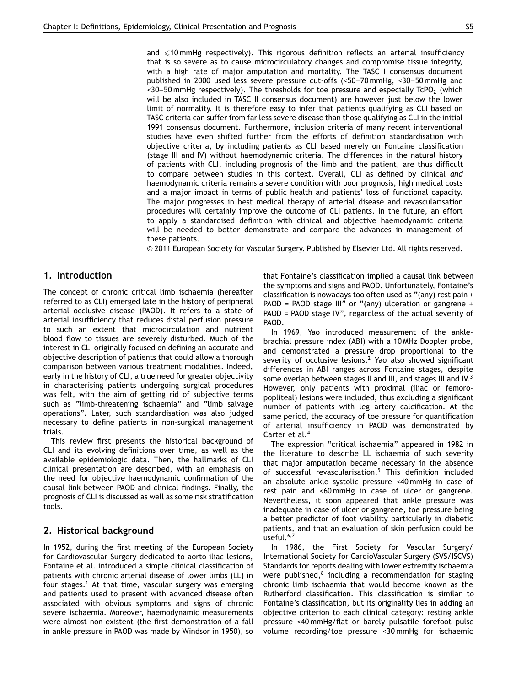and <10 mmHg respectively). This rigorous definition reflects an arterial insufficiency that is so severe as to cause microcirculatory changes and compromise tissue integrity, with a high rate of major amputation and mortality. The TASC I consensus document published in 2000 used less severe pressure cut-offs (<50––70 mmHg, <30––50 mmHg and  $<30-50$  mmHg respectively). The thresholds for toe pressure and especially TcPO<sub>2</sub> (which will be also included in TASC II consensus document) are however just below the lower limit of normality. It is therefore easy to infer that patients qualifying as CLI based on TASC criteria can suffer from far less severe disease than those qualifying as CLI in the initial 1991 consensus document. Furthermore, inclusion criteria of many recent interventional studies have even shifted further from the efforts of definition standardisation with objective criteria, by including patients as CLI based merely on Fontaine classification (stage III and IV) without haemodynamic criteria. The differences in the natural history of patients with CLI, including prognosis of the limb and the patient, are thus difficult to compare between studies in this context. Overall, CLI as defined by clinical and haemodynamic criteria remains a severe condition with poor prognosis, high medical costs and a major impact in terms of public health and patients' loss of functional capacity. The major progresses in best medical therapy of arterial disease and revascularisation procedures will certainly improve the outcome of CLI patients. In the future, an effort to apply a standardised definition with clinical and objective haemodynamic criteria will be needed to better demonstrate and compare the advances in management of these patients.

© 2011 European Society for Vascular Surgery. Published by Elsevier Ltd. All rights reserved.

# 1. Introduction

The concept of chronic critical limb ischaemia (hereafter referred to as CLI) emerged late in the history of peripheral arterial occlusive disease (PAOD). It refers to a state of arterial insufficiency that reduces distal perfusion pressure to such an extent that microcirculation and nutrient blood flow to tissues are severely disturbed. Much of the interest in CLI originally focused on defining an accurate and objective description of patients that could allow a thorough comparison between various treatment modalities. Indeed, early in the history of CLI, a true need for greater objectivity in characterising patients undergoing surgical procedures was felt, with the aim of getting rid of subjective terms such as "limb-threatening ischaemia" and "limb salvage operations". Later, such standardisation was also judged necessary to define patients in non-surgical management trials.

This review first presents the historical background of CLI and its evolving definitions over time, as well as the available epidemiologic data. Then, the hallmarks of CLI clinical presentation are described, with an emphasis on the need for objective haemodynamic confirmation of the causal link between PAOD and clinical findings. Finally, the prognosis of CLI is discussed as well as some risk stratification tools.

# 2. Historical background

In 1952, during the first meeting of the European Society for Cardiovascular Surgery dedicated to aorto-iliac lesions, Fontaine et al. introduced a simple clinical classification of patients with chronic arterial disease of lower limbs (LL) in four stages.1 At that time, vascular surgery was emerging and patients used to present with advanced disease often associated with obvious symptoms and signs of chronic severe ischaemia. Moreover, haemodynamic measurements were almost non-existent (the first demonstration of a fall in ankle pressure in PAOD was made by Windsor in 1950), so

that Fontaine's classification implied a causal link between the symptoms and signs and PAOD. Unfortunately, Fontaine's classification is nowadays too often used as "(any) rest pain + PAOD = PAOD stage III" or "(any) ulceration or gangrene + PAOD = PAOD stage IV", regardless of the actual severity of PAOD.

In 1969, Yao introduced measurement of the anklebrachial pressure index (ABI) with a 10 MHz Doppler probe, and demonstrated a pressure drop proportional to the severity of occlusive lesions.<sup>2</sup> Yao also showed significant differences in ABI ranges across Fontaine stages, despite some overlap between stages II and III, and stages III and IV.<sup>3</sup> However, only patients with proximal (iliac or femoropopliteal) lesions were included, thus excluding a significant number of patients with leg artery calcification. At the same period, the accuracy of toe pressure for quantification of arterial insufficiency in PAOD was demonstrated by Carter et al.4

The expression "critical ischaemia" appeared in 1982 in the literature to describe LL ischaemia of such severity that major amputation became necessary in the absence of successful revascularisation.5 This definition included an absolute ankle systolic pressure <40 mmHg in case of rest pain and <60 mmHg in case of ulcer or gangrene. Nevertheless, it soon appeared that ankle pressure was inadequate in case of ulcer or gangrene, toe pressure being a better predictor of foot viability particularly in diabetic patients, and that an evaluation of skin perfusion could be useful. $6,7$ 

In 1986, the First Society for Vascular Surgery/ International Society for CardioVascular Surgery (SVS/ISCVS) Standards for reports dealing with lower extremity ischaemia were published, $8$  including a recommendation for staging chronic limb ischaemia that would become known as the Rutherford classification. This classification is similar to Fontaine's classification, but its originality lies in adding an objective criterion to each clinical category: resting ankle pressure <40 mmHg/flat or barely pulsatile forefoot pulse volume recording/toe pressure <30 mmHg for ischaemic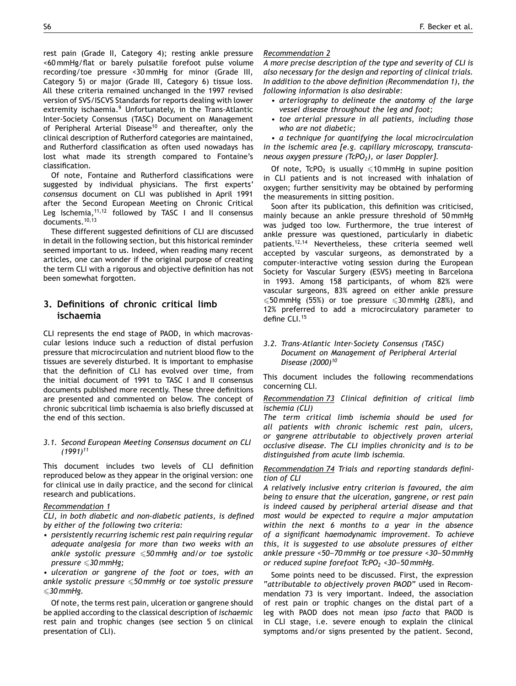rest pain (Grade II, Category 4); resting ankle pressure <60 mmHg/flat or barely pulsatile forefoot pulse volume recording/toe pressure <30 mmHg for minor (Grade III, Category 5) or major (Grade III, Category 6) tissue loss. All these criteria remained unchanged in the 1997 revised version of SVS/ISCVS Standards for reports dealing with lower extremity ischaemia.<sup>9</sup> Unfortunately, in the Trans-Atlantic Inter-Society Consensus (TASC) Document on Management of Peripheral Arterial Disease<sup>10</sup> and thereafter, only the clinical description of Rutherford categories are maintained, and Rutherford classification as often used nowadays has lost what made its strength compared to Fontaine's classification.

Of note, Fontaine and Rutherford classifications were suggested by individual physicians. The first experts' consensus document on CLI was published in April 1991 after the Second European Meeting on Chronic Critical Leg Ischemia, $11,12$  followed by TASC I and II consensus documents.10,13

These different suggested definitions of CLI are discussed in detail in the following section, but this historical reminder seemed important to us. Indeed, when reading many recent articles, one can wonder if the original purpose of creating the term CLI with a rigorous and objective definition has not been somewhat forgotten.

# 3. Definitions of chronic critical limb ischaemia

CLI represents the end stage of PAOD, in which macrovascular lesions induce such a reduction of distal perfusion pressure that microcirculation and nutrient blood flow to the tissues are severely disturbed. It is important to emphasise that the definition of CLI has evolved over time, from the initial document of 1991 to TASC I and II consensus documents published more recently. These three definitions are presented and commented on below. The concept of chronic subcritical limb ischaemia is also briefly discussed at the end of this section.

## 3.1. Second European Meeting Consensus document on CLI  $(1991)^{11}$

This document includes two levels of CLI definition reproduced below as they appear in the original version: one for clinical use in daily practice, and the second for clinical research and publications.

## Recommendation 1

CLI, in both diabetic and non-diabetic patients, is defined by either of the following two criteria:

• persistently recurring ischemic rest pain requiring regular adequate analgesia for more than two weeks with an ankle systolic pressure  $\leqslant$ 50 mmHg and/or toe systolic  $pressure \leqslant$ 30 mmHg;

• ulceration or gangrene of the foot or toes, with an ankle systolic pressure  $\leqslant$ 50 mmHg or toe systolic pressure  $\leqslant$ 30 mmHg.

Of note, the terms rest pain, ulceration or gangrene should be applied according to the classical description of ischaemic rest pain and trophic changes (see section 5 on clinical presentation of CLI).

# Recommendation 2

A more precise description of the type and severity of CLI is also necessary for the design and reporting of clinical trials. In addition to the above definition (Recommendation 1), the following information is also desirable:

- arteriography to delineate the anatomy of the large vessel disease throughout the leg and foot;
- toe arterial pressure in all patients, including those who are not diabetic;

• a technique for quantifying the local microcirculation in the ischemic area [e.g. capillary microscopy, transcutaneous oxygen pressure (TcPO $_2$ ), or laser Doppler].

Of note, TcPO<sub>2</sub> is usually  $\leqslant$  10 mmHg in supine position in CLI patients and is not increased with inhalation of oxygen; further sensitivity may be obtained by performing the measurements in sitting position.

Soon after its publication, this definition was criticised, mainly because an ankle pressure threshold of 50 mmHg was judged too low. Furthermore, the true interest of ankle pressure was questioned, particularly in diabetic patients.12,14 Nevertheless, these criteria seemed well accepted by vascular surgeons, as demonstrated by a computer-interactive voting session during the European Society for Vascular Surgery (ESVS) meeting in Barcelona in 1993. Among 158 participants, of whom 82% were vascular surgeons, 83% agreed on either ankle pressure  $\leqslant$ 50 mmHg (55%) or toe pressure  $\leqslant$ 30 mmHg (28%), and 12% preferred to add a microcirculatory parameter to define CLI.15

# 3.2. Trans-Atlantic Inter-Society Consensus (TASC) Document on Management of Peripheral Arterial Disease (2000)<sup>10</sup>

This document includes the following recommendations concerning CLI.

Recommendation 73 Clinical definition of critical limb ischemia (CLI)

The term critical limb ischemia should be used for all patients with chronic ischemic rest pain, ulcers, or gangrene attributable to objectively proven arterial occlusive disease. The CLI implies chronicity and is to be distinguished from acute limb ischemia.

## Recommendation 74 Trials and reporting standards definition of CLI

A relatively inclusive entry criterion is favoured, the aim being to ensure that the ulceration, gangrene, or rest pain is indeed caused by peripheral arterial disease and that most would be expected to require a major amputation within the next 6 months to a year in the absence of a significant haemodynamic improvement. To achieve this, it is suggested to use absolute pressures of either ankle pressure <50-70 mmHg or toe pressure <30-50 mmHg or reduced supine forefoot  $TcPO<sub>2</sub> < 30-50$  mmHg.

Some points need to be discussed. First, the expression "attributable to objectively proven PAOD" used in Recommendation 73 is very important. Indeed, the association of rest pain or trophic changes on the distal part of a leg with PAOD does not mean ipso facto that PAOD is in CLI stage, i.e. severe enough to explain the clinical symptoms and/or signs presented by the patient. Second,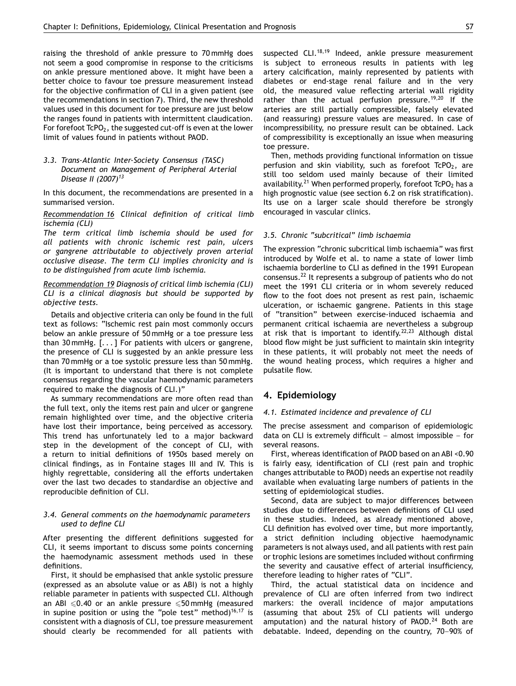raising the threshold of ankle pressure to 70 mmHg does not seem a good compromise in response to the criticisms on ankle pressure mentioned above. It might have been a better choice to favour toe pressure measurement instead for the objective confirmation of CLI in a given patient (see the recommendations in section 7). Third, the new threshold values used in this document for toe pressure are just below the ranges found in patients with intermittent claudication. For forefoot  $TePO<sub>2</sub>$ , the suggested cut-off is even at the lower limit of values found in patients without PAOD.

## 3.3. Trans-Atlantic Inter-Society Consensus (TASC) Document on Management of Peripheral Arterial Disease II  $(2007)^{13}$

In this document, the recommendations are presented in a summarised version.

Recommendation 16 Clinical definition of critical limb ischemia (CLI)

The term critical limb ischemia should be used for all patients with chronic ischemic rest pain, ulcers or gangrene attributable to objectively proven arterial occlusive disease. The term CLI implies chronicity and is to be distinguished from acute limb ischemia.

Recommendation 19 Diagnosis of critical limb ischemia (CLI) CLI is a clinical diagnosis but should be supported by objective tests.

Details and objective criteria can only be found in the full text as follows: "Ischemic rest pain most commonly occurs below an ankle pressure of 50 mmHg or a toe pressure less than 30 mmHg. [...] For patients with ulcers or gangrene, the presence of CLI is suggested by an ankle pressure less than 70 mmHg or a toe systolic pressure less than 50 mmHg. (It is important to understand that there is not complete consensus regarding the vascular haemodynamic parameters required to make the diagnosis of CLI.)"

As summary recommendations are more often read than the full text, only the items rest pain and ulcer or gangrene remain highlighted over time, and the objective criteria have lost their importance, being perceived as accessory. This trend has unfortunately led to a major backward step in the development of the concept of CLI, with a return to initial definitions of 1950s based merely on clinical findings, as in Fontaine stages III and IV. This is highly regrettable, considering all the efforts undertaken over the last two decades to standardise an objective and reproducible definition of CLI.

## 3.4. General comments on the haemodynamic parameters used to define CLI

After presenting the different definitions suggested for CLI, it seems important to discuss some points concerning the haemodynamic assessment methods used in these definitions.

First, it should be emphasised that ankle systolic pressure (expressed as an absolute value or as ABI) is not a highly reliable parameter in patients with suspected CLI. Although an ABI  $\leqslant$ 0.40 or an ankle pressure  $\leqslant$ 50 mmHg (measured in supine position or using the "pole test" method)<sup>16,17</sup> is consistent with a diagnosis of CLI, toe pressure measurement should clearly be recommended for all patients with

suspected CLI.<sup>18,19</sup> Indeed, ankle pressure measurement is subject to erroneous results in patients with leg artery calcification, mainly represented by patients with diabetes or end-stage renal failure and in the very old, the measured value reflecting arterial wall rigidity rather than the actual perfusion pressure.<sup>19,20</sup> If the arteries are still partially compressible, falsely elevated (and reassuring) pressure values are measured. In case of incompressibility, no pressure result can be obtained. Lack of compressibility is exceptionally an issue when measuring toe pressure.

Then, methods providing functional information on tissue perfusion and skin viability, such as forefoot  $TePO<sub>2</sub>$ , are still too seldom used mainly because of their limited availability.<sup>21</sup> When performed properly, forefoot  $TCPO<sub>2</sub>$  has a high prognostic value (see section 6.2 on risk stratification). Its use on a larger scale should therefore be strongly encouraged in vascular clinics.

#### 3.5. Chronic "subcritical" limb ischaemia

The expression "chronic subcritical limb ischaemia" was first introduced by Wolfe et al. to name a state of lower limb ischaemia borderline to CLI as defined in the 1991 European consensus.22 It represents a subgroup of patients who do not meet the 1991 CLI criteria or in whom severely reduced flow to the foot does not present as rest pain, ischaemic ulceration, or ischaemic gangrene. Patients in this stage of "transition" between exercise-induced ischaemia and permanent critical ischaemia are nevertheless a subgroup at risk that is important to identify.<sup>22,23</sup> Although distal blood flow might be just sufficient to maintain skin integrity in these patients, it will probably not meet the needs of the wound healing process, which requires a higher and pulsatile flow.

# 4. Epidemiology

#### 4.1. Estimated incidence and prevalence of CLI

The precise assessment and comparison of epidemiologic data on CLI is extremely difficult – almost impossible – for several reasons.

First, whereas identification of PAOD based on an ABI <0.90 is fairly easy, identification of CLI (rest pain and trophic changes attributable to PAOD) needs an expertise not readily available when evaluating large numbers of patients in the setting of epidemiological studies.

Second, data are subject to major differences between studies due to differences between definitions of CLI used in these studies. Indeed, as already mentioned above, CLI definition has evolved over time, but more importantly, a strict definition including objective haemodynamic parameters is not always used, and all patients with rest pain or trophic lesions are sometimes included without confirming the severity and causative effect of arterial insufficiency, therefore leading to higher rates of "CLI".

Third, the actual statistical data on incidence and prevalence of CLI are often inferred from two indirect markers: the overall incidence of major amputations (assuming that about 25% of CLI patients will undergo amputation) and the natural history of PAOD.<sup>24</sup> Both are debatable. Indeed, depending on the country, 70–90% of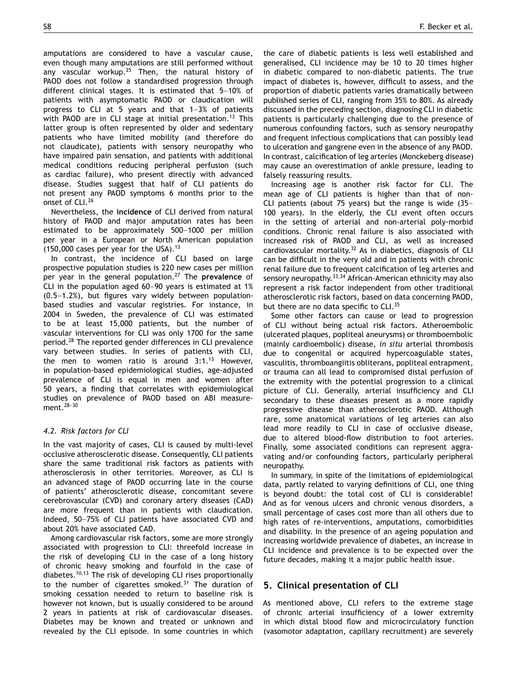amputations are considered to have a vascular cause, even though many amputations are still performed without any vascular workup.<sup>25</sup> Then, the natural history of PAOD does not follow a standardised progression through different clinical stages. It is estimated that 5-10% of patients with asymptomatic PAOD or claudication will progress to CLI at 5 years and that  $1-3%$  of patients with PAOD are in CLI stage at initial presentation.<sup>13</sup> This latter group is often represented by older and sedentary patients who have limited mobility (and therefore do not claudicate), patients with sensory neuropathy who have impaired pain sensation, and patients with additional medical conditions reducing peripheral perfusion (such as cardiac failure), who present directly with advanced disease. Studies suggest that half of CLI patients do not present any PAOD symptoms 6 months prior to the onset of CLI.<sup>26</sup>

Nevertheless, the incidence of CLI derived from natural history of PAOD and major amputation rates has been estimated to be approximately  $500-1000$  per million per year in a European or North American population (150,000 cases per year for the USA).<sup>13</sup>

In contrast, the incidence of CLI based on large prospective population studies is 220 new cases per million per year in the general population.<sup>27</sup> The **prevalence** of CLI in the population aged  $60-90$  years is estimated at 1%  $(0.5-1.2%)$ , but figures vary widely between populationbased studies and vascular registries. For instance, in 2004 in Sweden, the prevalence of CLI was estimated to be at least 15,000 patients, but the number of vascular interventions for CLI was only 1700 for the same period.28 The reported gender differences in CLI prevalence vary between studies. In series of patients with CLI, the men to women ratio is around  $3:1.^{13}$  However, in population-based epidemiological studies, age-adjusted prevalence of CLI is equal in men and women after 50 years, a finding that correlates with epidemiological studies on prevalence of PAOD based on ABI measurement. $28-30$ 

## 4.2. Risk factors for CLI

In the vast majority of cases, CLI is caused by multi-level occlusive atherosclerotic disease. Consequently, CLI patients share the same traditional risk factors as patients with atherosclerosis in other territories. Moreover, as CLI is an advanced stage of PAOD occurring late in the course of patients' atherosclerotic disease, concomitant severe cerebrovascular (CVD) and coronary artery diseases (CAD) are more frequent than in patients with claudication. Indeed, 50-75% of CLI patients have associated CVD and about 20% have associated CAD.

Among cardiovascular risk factors, some are more strongly associated with progression to CLI: threefold increase in the risk of developing CLI in the case of a long history of chronic heavy smoking and fourfold in the case of diabetes.10,13 The risk of developing CLI rises proportionally to the number of cigarettes smoked. $31$  The duration of smoking cessation needed to return to baseline risk is however not known, but is usually considered to be around 2 years in patients at risk of cardiovascular diseases. Diabetes may be known and treated or unknown and revealed by the CLI episode. In some countries in which

the care of diabetic patients is less well established and generalised, CLI incidence may be 10 to 20 times higher in diabetic compared to non-diabetic patients. The true impact of diabetes is, however, difficult to assess, and the proportion of diabetic patients varies dramatically between published series of CLI, ranging from 35% to 80%. As already discussed in the preceding section, diagnosing CLI in diabetic patients is particularly challenging due to the presence of numerous confounding factors, such as sensory neuropathy and frequent infectious complications that can possibly lead to ulceration and gangrene even in the absence of any PAOD. In contrast, calcification of leg arteries (Monckeberg disease) may cause an overestimation of ankle pressure, leading to falsely reassuring results.

Increasing age is another risk factor for CLI. The mean age of CLI patients is higher than that of non-CLI patients (about 75 years) but the range is wide (35–– 100 years). In the elderly, the CLI event often occurs in the setting of arterial and non-arterial poly-morbid conditions. Chronic renal failure is also associated with increased risk of PAOD and CLI, as well as increased cardiovascular mortality. $32$  As in diabetics, diagnosis of CLI can be difficult in the very old and in patients with chronic renal failure due to frequent calcification of leg arteries and sensory neuropathy.<sup>33,34</sup> African-American ethnicity may also represent a risk factor independent from other traditional atherosclerotic risk factors, based on data concerning PAOD, but there are no data specific to CLI.<sup>35</sup>

Some other factors can cause or lead to progression of CLI without being actual risk factors. Atheroembolic (ulcerated plaques, popliteal aneurysms) or thromboembolic (mainly cardioembolic) disease, in situ arterial thrombosis due to congenital or acquired hypercoagulable states, vasculitis, thromboangiitis obliterans, popliteal entrapment, or trauma can all lead to compromised distal perfusion of the extremity with the potential progression to a clinical picture of CLI. Generally, arterial insufficiency and CLI secondary to these diseases present as a more rapidly progressive disease than atherosclerotic PAOD. Although rare, some anatomical variations of leg arteries can also lead more readily to CLI in case of occlusive disease, due to altered blood-flow distribution to foot arteries. Finally, some associated conditions can represent aggravating and/or confounding factors, particularly peripheral neuropathy.

In summary, in spite of the limitations of epidemiological data, partly related to varying definitions of CLI, one thing is beyond doubt: the total cost of CLI is considerable! And as for venous ulcers and chronic venous disorders, a small percentage of cases cost more than all others due to high rates of re-interventions, amputations, comorbidities and disability. In the presence of an ageing population and increasing worldwide prevalence of diabetes, an increase in CLI incidence and prevalence is to be expected over the future decades, making it a major public health issue.

# 5. Clinical presentation of CLI

As mentioned above, CLI refers to the extreme stage of chronic arterial insufficiency of a lower extremity in which distal blood flow and microcirculatory function (vasomotor adaptation, capillary recruitment) are severely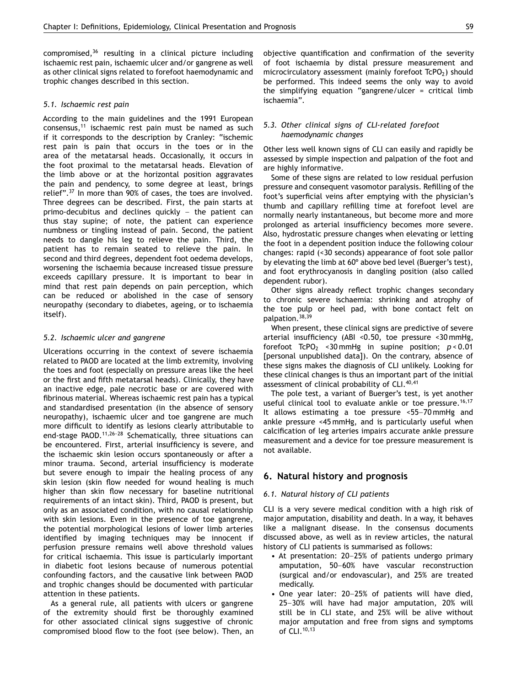compromised, $36$  resulting in a clinical picture including ischaemic rest pain, ischaemic ulcer and/or gangrene as well as other clinical signs related to forefoot haemodynamic and trophic changes described in this section.

#### 5.1. Ischaemic rest pain

According to the main guidelines and the 1991 European consensus,11 ischaemic rest pain must be named as such if it corresponds to the description by Cranley: "ischemic rest pain is pain that occurs in the toes or in the area of the metatarsal heads. Occasionally, it occurs in the foot proximal to the metatarsal heads. Elevation of the limb above or at the horizontal position aggravates the pain and pendency, to some degree at least, brings relief".37 In more than 90% of cases, the toes are involved. Three degrees can be described. First, the pain starts at primo-decubitus and declines quickly  $-$  the patient can thus stay supine; of note, the patient can experience numbness or tingling instead of pain. Second, the patient needs to dangle his leg to relieve the pain. Third, the patient has to remain seated to relieve the pain. In second and third degrees, dependent foot oedema develops, worsening the ischaemia because increased tissue pressure exceeds capillary pressure. It is important to bear in mind that rest pain depends on pain perception, which can be reduced or abolished in the case of sensory neuropathy (secondary to diabetes, ageing, or to ischaemia itself).

## 5.2. Ischaemic ulcer and gangrene

Ulcerations occurring in the context of severe ischaemia related to PAOD are located at the limb extremity, involving the toes and foot (especially on pressure areas like the heel or the first and fifth metatarsal heads). Clinically, they have an inactive edge, pale necrotic base or are covered with fibrinous material. Whereas ischaemic rest pain has a typical and standardised presentation (in the absence of sensory neuropathy), ischaemic ulcer and toe gangrene are much more difficult to identify as lesions clearly attributable to end-stage PAOD.<sup>11,26-28</sup> Schematically, three situations can be encountered. First, arterial insufficiency is severe, and the ischaemic skin lesion occurs spontaneously or after a minor trauma. Second, arterial insufficiency is moderate but severe enough to impair the healing process of any skin lesion (skin flow needed for wound healing is much higher than skin flow necessary for baseline nutritional requirements of an intact skin). Third, PAOD is present, but only as an associated condition, with no causal relationship with skin lesions. Even in the presence of toe gangrene, the potential morphological lesions of lower limb arteries identified by imaging techniques may be innocent if perfusion pressure remains well above threshold values for critical ischaemia. This issue is particularly important in diabetic foot lesions because of numerous potential confounding factors, and the causative link between PAOD and trophic changes should be documented with particular attention in these patients.

As a general rule, all patients with ulcers or gangrene of the extremity should first be thoroughly examined for other associated clinical signs suggestive of chronic compromised blood flow to the foot (see below). Then, an objective quantification and confirmation of the severity of foot ischaemia by distal pressure measurement and microcirculatory assessment (mainly forefoot  $TePO<sub>2</sub>$ ) should be performed. This indeed seems the only way to avoid the simplifying equation "gangrene/ulcer = critical limb ischaemia".

## 5.3. Other clinical signs of CLI-related forefoot haemodynamic changes

Other less well known signs of CLI can easily and rapidly be assessed by simple inspection and palpation of the foot and are highly informative.

Some of these signs are related to low residual perfusion pressure and consequent vasomotor paralysis. Refilling of the foot's superficial veins after emptying with the physician's thumb and capillary refilling time at forefoot level are normally nearly instantaneous, but become more and more prolonged as arterial insufficiency becomes more severe. Also, hydrostatic pressure changes when elevating or letting the foot in a dependent position induce the following colour changes: rapid (<30 seconds) appearance of foot sole pallor by elevating the limb at 60º above bed level (Buerger's test), and foot erythrocyanosis in dangling position (also called dependent rubor).

Other signs already reflect trophic changes secondary to chronic severe ischaemia: shrinking and atrophy of the toe pulp or heel pad, with bone contact felt on palpation.38,39

When present, these clinical signs are predictive of severe arterial insufficiency (ABI <0.50, toe pressure <30 mmHg, forefoot  $TcPO<sub>2</sub> < 30$  mmHg in supine position;  $p < 0.01$ [personal unpublished data]). On the contrary, absence of these signs makes the diagnosis of CLI unlikely. Looking for these clinical changes is thus an important part of the initial assessment of clinical probability of CLI.<sup>40,41</sup>

The pole test, a variant of Buerger's test, is yet another useful clinical tool to evaluate ankle or toe pressure.<sup>16,17</sup> It allows estimating a toe pressure <55––70 mmHg and ankle pressure <45 mmHg, and is particularly useful when calcification of leg arteries impairs accurate ankle pressure measurement and a device for toe pressure measurement is not available.

# 6. Natural history and prognosis

## 6.1. Natural history of CLI patients

CLI is a very severe medical condition with a high risk of major amputation, disability and death. In a way, it behaves like a malignant disease. In the consensus documents discussed above, as well as in review articles, the natural history of CLI patients is summarised as follows:

- At presentation: 20-25% of patients undergo primary amputation, 50-60% have vascular reconstruction (surgical and/or endovascular), and 25% are treated medically.
- One year later: 20-25% of patients will have died, 25––30% will have had major amputation, 20% will still be in CLI state, and 25% will be alive without major amputation and free from signs and symptoms of CLI.<sup>10,13</sup>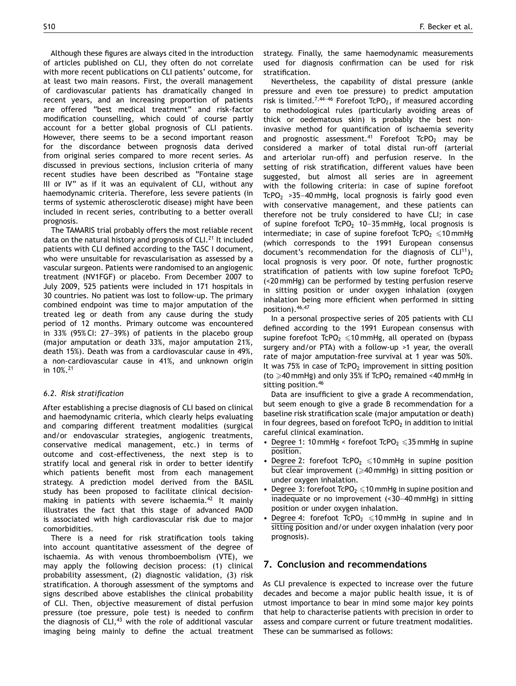Although these figures are always cited in the introduction of articles published on CLI, they often do not correlate with more recent publications on CLI patients' outcome, for at least two main reasons. First, the overall management of cardiovascular patients has dramatically changed in recent years, and an increasing proportion of patients are offered "best medical treatment" and risk-factor modification counselling, which could of course partly account for a better global prognosis of CLI patients. However, there seems to be a second important reason for the discordance between prognosis data derived from original series compared to more recent series. As discussed in previous sections, inclusion criteria of many recent studies have been described as "Fontaine stage III or IV" as if it was an equivalent of CLI, without any haemodynamic criteria. Therefore, less severe patients (in terms of systemic atherosclerotic disease) might have been included in recent series, contributing to a better overall prognosis.

The TAMARIS trial probably offers the most reliable recent data on the natural history and prognosis of CLI.<sup>21</sup> It included patients with CLI defined according to the TASC I document, who were unsuitable for revascularisation as assessed by a vascular surgeon. Patients were randomised to an angiogenic treatment (NV1FGF) or placebo. From December 2007 to July 2009, 525 patients were included in 171 hospitals in 30 countries. No patient was lost to follow-up. The primary combined endpoint was time to major amputation of the treated leg or death from any cause during the study period of 12 months. Primary outcome was encountered in 33% (95% CI:  $27-39%$ ) of patients in the placebo group (major amputation or death 33%, major amputation 21%, death 15%). Death was from a cardiovascular cause in 49%, a non-cardiovascular cause in 41%, and unknown origin in 10%.21

## 6.2. Risk stratification

After establishing a precise diagnosis of CLI based on clinical and haemodynamic criteria, which clearly helps evaluating and comparing different treatment modalities (surgical and/or endovascular strategies, angiogenic treatments, conservative medical management, etc.) in terms of outcome and cost-effectiveness, the next step is to stratify local and general risk in order to better identify which patients benefit most from each management strategy. A prediction model derived from the BASIL study has been proposed to facilitate clinical decisionmaking in patients with severe ischaemia. $42$  It mainly illustrates the fact that this stage of advanced PAOD is associated with high cardiovascular risk due to major comorbidities.

There is a need for risk stratification tools taking into account quantitative assessment of the degree of ischaemia. As with venous thromboembolism (VTE), we may apply the following decision process: (1) clinical probability assessment, (2) diagnostic validation, (3) risk stratification. A thorough assessment of the symptoms and signs described above establishes the clinical probability of CLI. Then, objective measurement of distal perfusion pressure (toe pressure, pole test) is needed to confirm the diagnosis of CLI, $43$  with the role of additional vascular imaging being mainly to define the actual treatment strategy. Finally, the same haemodynamic measurements used for diagnosis confirmation can be used for risk stratification.

Nevertheless, the capability of distal pressure (ankle pressure and even toe pressure) to predict amputation risk is limited.<sup>7,44-46</sup> Forefoot TcPO<sub>2</sub>, if measured according to methodological rules (particularly avoiding areas of thick or oedematous skin) is probably the best noninvasive method for quantification of ischaemia severity and prognostic assessment.<sup>41</sup> Forefoot TcPO<sub>2</sub> may be considered a marker of total distal run-off (arterial and arteriolar run-off) and perfusion reserve. In the setting of risk stratification, different values have been suggested, but almost all series are in agreement with the following criteria: in case of supine forefoot TcPO<sub>2</sub> >35-40 mmHg, local prognosis is fairly good even with conservative management, and these patients can therefore not be truly considered to have CLI; in case of supine forefoot  $TCPO<sub>2</sub>$  10–35 mmHg, local prognosis is intermediate; in case of supine forefoot TcPO $_2 \leqslant$ 10 mmHg (which corresponds to the 1991 European consensus document's recommendation for the diagnosis of  $CLI<sup>11</sup>$ ), local prognosis is very poor. Of note, further prognostic stratification of patients with low supine forefoot  $TePO<sub>2</sub>$ (<20 mmHg) can be performed by testing perfusion reserve in sitting position or under oxygen inhalation (oxygen inhalation being more efficient when performed in sitting position).46,47

In a personal prospective series of 205 patients with CLI defined according to the 1991 European consensus with supine forefoot TcPO $_2 \leqslant$ 10 mmHg, all operated on (bypass surgery and/or PTA) with a follow-up >1 year, the overall rate of major amputation-free survival at 1 year was 50%. It was 75% in case of  $TCPO<sub>2</sub>$  improvement in sitting position (to  $\geq$ 40 mmHg) and only 35% if TcPO<sub>2</sub> remained <40 mmHg in sitting position.<sup>46</sup>

Data are insufficient to give a grade A recommendation, but seem enough to give a grade B recommendation for a baseline risk stratification scale (major amputation or death) in four degrees, based on forefoot  $TCPO<sub>2</sub>$  in addition to initial careful clinical examination.

- Degree 1: 10 mmHg < forefoot TcPO<sub>2</sub>  $\leqslant$  35 mmHg in supine position.
- Degree 2: forefoot  $TCPO<sub>2</sub> \le 10$  mmHg in supine position but clear improvement  $(\geq 40 \text{ mmHg})$  in sitting position or under oxygen inhalation.
- Degree 3: forefoot  $\text{TCPO}_2 \leqslant 10$  mmHg in supine position and inadequate or no improvement  $(30-40 \text{ mmHg})$  in sitting position or under oxygen inhalation.
- Degree 4: forefoot  $TePO<sub>2</sub> \le 10$  mmHg in supine and in sitting position and/or under oxygen inhalation (very poor prognosis).

# 7. Conclusion and recommendations

As CLI prevalence is expected to increase over the future decades and become a major public health issue, it is of utmost importance to bear in mind some major key points that help to characterise patients with precision in order to assess and compare current or future treatment modalities. These can be summarised as follows: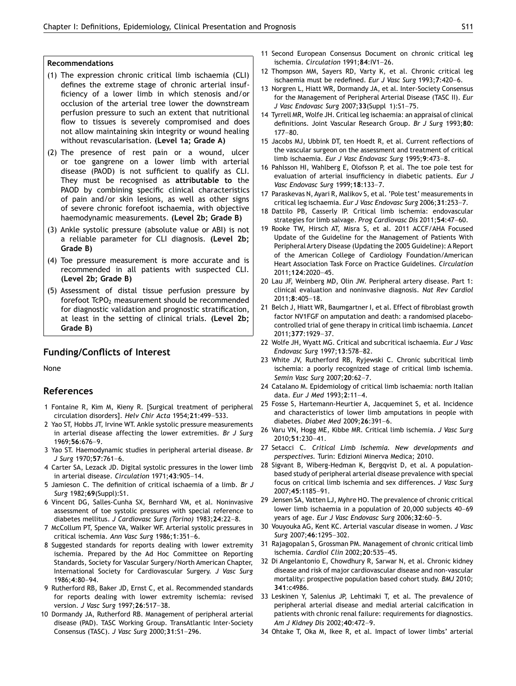## Recommendations

- (1) The expression chronic critical limb ischaemia (CLI) defines the extreme stage of chronic arterial insufficiency of a lower limb in which stenosis and/or occlusion of the arterial tree lower the downstream perfusion pressure to such an extent that nutritional flow to tissues is severely compromised and does not allow maintaining skin integrity or wound healing without revascularisation. (Level 1a; Grade A)
- (2) The presence of rest pain or a wound, ulcer or toe gangrene on a lower limb with arterial disease (PAOD) is not sufficient to qualify as CLI. They must be recognised as attributable to the PAOD by combining specific clinical characteristics of pain and/or skin lesions, as well as other signs of severe chronic forefoot ischaemia, with objective haemodynamic measurements. (Level 2b; Grade B)
- (3) Ankle systolic pressure (absolute value or ABI) is not a reliable parameter for CLI diagnosis. (Level 2b; Grade B)
- (4) Toe pressure measurement is more accurate and is recommended in all patients with suspected CLI. (Level 2b; Grade B)
- (5) Assessment of distal tissue perfusion pressure by forefoot  $TePO<sub>2</sub>$  measurement should be recommended for diagnostic validation and prognostic stratification, at least in the setting of clinical trials. (Level 2b; Grade B)

## Funding/Conflicts of Interest

None

# References

- 1 Fontaine R, Kim M, Kieny R. [Surgical treatment of peripheral circulation disorders]. Helv Chir Acta 1954;21:499-533.
- 2 Yao ST, Hobbs JT, Irvine WT. Ankle systolic pressure measurements in arterial disease affecting the lower extremities. Br J Surg 1969;56:676––9.
- 3 Yao ST. Haemodynamic studies in peripheral arterial disease. Br J Surg  $1970;57:761-6$ .
- 4 Carter SA, Lezack JD. Digital systolic pressures in the lower limb in arterial disease. Circulation 1971;43:905-14.
- 5 Jamieson C. The definition of critical ischaemia of a limb. Br J Surg 1982;69(Suppl):S1.
- 6 Vincent DG, Salles-Cunha SX, Bernhard VM, et al. Noninvasive assessment of toe systolic pressures with special reference to diabetes mellitus. J Cardiovasc Surg (Torino) 1983;24:22-8.
- 7 McCollum PT, Spence VA, Walker WF. Arterial systolic pressures in critical ischemia. Ann Vasc Surg 1986;1:351-6.
- 8 Suggested standards for reports dealing with lower extremity ischemia. Prepared by the Ad Hoc Committee on Reporting Standards, Society for Vascular Surgery/North American Chapter, International Society for Cardiovascular Surgery. J Vasc Surg 1986;4:80––94.
- 9 Rutherford RB, Baker JD, Ernst C, et al. Recommended standards for reports dealing with lower extremity ischemia: revised version. J Vasc Surg 1997; 26: 517-38.
- 10 Dormandy JA, Rutherford RB. Management of peripheral arterial disease (PAD). TASC Working Group. TransAtlantic Inter-Society Consensus (TASC). J Vasc Surg 2000;31:S1––296.
- 11 Second European Consensus Document on chronic critical leg ischemia. Circulation 1991;84:IV1-26.
- 12 Thompson MM, Sayers RD, Varty K, et al. Chronic critical leg ischaemia must be redefined. Eur J Vasc Surg 1993;7:420-6.
- 13 Norgren L, Hiatt WR, Dormandy JA, et al. Inter-Society Consensus for the Management of Peripheral Arterial Disease (TASC II). Eur J Vasc Endovasc Surg 2007;33(Suppl 1):S1-75.
- 14 Tyrrell MR, Wolfe JH. Critical leg ischaemia: an appraisal of clinical definitions. Joint Vascular Research Group. Br J Surg 1993;80:  $177 - 80.$
- 15 Jacobs MJ, Ubbink DT, ten Hoedt R, et al. Current reflections of the vascular surgeon on the assessment and treatment of critical limb ischaemia. Eur J Vasc Endovasc Surg 1995;9:473-8.
- 16 Pahlsson HI, Wahlberg E, Olofsson P, et al. The toe pole test for evaluation of arterial insufficiency in diabetic patients. Eur J Vasc Endovasc Surg 1999;18:133––7.
- 17 Paraskevas N, Ayari R, Malikov S, et al. 'Pole test' measurements in critical leg ischaemia. Eur J Vasc Endovasc Surg 2006;31:253––7.
- 18 Dattilo PB, Casserly IP. Critical limb ischemia: endovascular strategies for limb salvage. Prog Cardiovasc Dis 2011;54:47-60.
- 19 Rooke TW, Hirsch AT, Misra S, et al. 2011 ACCF/AHA Focused Update of the Guideline for the Management of Patients With Peripheral Artery Disease (Updating the 2005 Guideline): A Report of the American College of Cardiology Foundation/American Heart Association Task Force on Practice Guidelines. Circulation 2011;124:2020––45.
- 20 Lau JF, Weinberg MD, Olin JW. Peripheral artery disease. Part 1: clinical evaluation and noninvasive diagnosis. Nat Rev Cardiol 2011;8:405––18.
- 21 Belch J, Hiatt WR, Baumgartner I, et al. Effect of fibroblast growth factor NV1FGF on amputation and death: a randomised placebocontrolled trial of gene therapy in critical limb ischaemia. Lancet 2011;377:1929––37.
- 22 Wolfe JH, Wyatt MG. Critical and subcritical ischaemia. Eur J Vasc Endovasc Surg 1997; 13:578-82.
- 23 White JV, Rutherford RB, Ryjewski C. Chronic subcritical limb ischemia: a poorly recognized stage of critical limb ischemia. Semin Vasc Surg 2007;20:62––7.
- 24 Catalano M. Epidemiology of critical limb ischaemia: north Italian data. Eur J Med 1993;2:11-4.
- 25 Fosse S, Hartemann-Heurtier A, Jacqueminet S, et al. Incidence and characteristics of lower limb amputations in people with diabetes. Diabet Med 2009:26:391-6.
- 26 Varu VN, Hogg ME, Kibbe MR. Critical limb ischemia. J Vasc Surg 2010;51:230––41.
- 27 Setacci C. Critical Limb Ischemia. New developments and perspectives. Turin: Edizioni Minerva Medica; 2010.
- 28 Sigvant B, Wiberg-Hedman K, Bergqvist D, et al. A populationbased study of peripheral arterial disease prevalence with special focus on critical limb ischemia and sex differences. J Vasc Surg 2007;45:1185––91.
- 29 Jensen SA, Vatten LJ, Myhre HO. The prevalence of chronic critical lower limb ischaemia in a population of 20,000 subjects 40-69 years of age. Eur J Vasc Endovasc Surg 2006;32:60-5.
- 30 Vouyouka AG, Kent KC. Arterial vascular disease in women. J Vasc Surg 2007;46:1295-302.
- 31 Rajagopalan S, Grossman PM. Management of chronic critical limb ischemia. Cardiol Clin 2002; 20:535-45.
- 32 Di Angelantonio E, Chowdhury R, Sarwar N, et al. Chronic kidney disease and risk of major cardiovascular disease and non-vascular mortality: prospective population based cohort study. BMJ 2010; 341:c4986.
- 33 Leskinen Y, Salenius JP, Lehtimaki T, et al. The prevalence of peripheral arterial disease and medial arterial calcification in patients with chronic renal failure: requirements for diagnostics. Am J Kidney Dis 2002;40:472-9.
- 34 Ohtake T, Oka M, Ikee R, et al. Impact of lower limbs' arterial